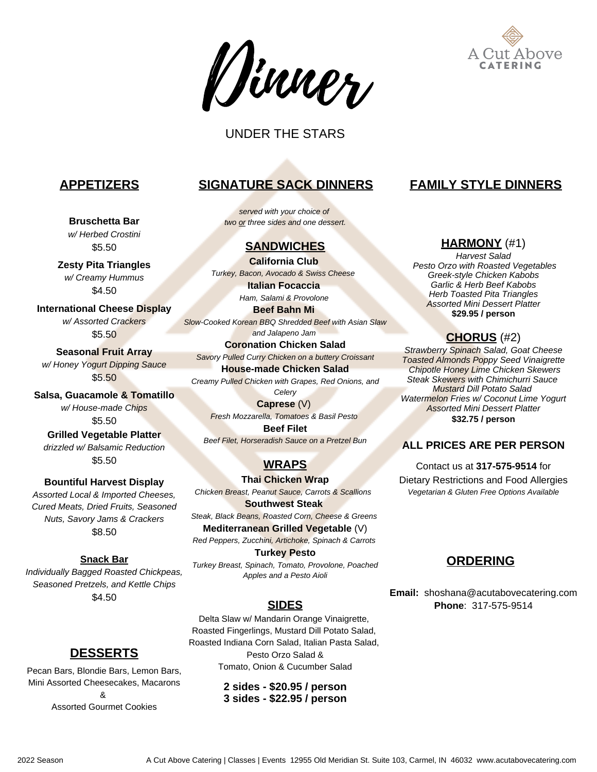



# UNDER THE STARS

**Bruschetta Bar** *w/ Herbed Crostini* \$5.50

**Zesty Pita Triangles** *w/ Creamy Hummus* \$4.50

**International Cheese Display** *w/ Assorted Crackers* \$5.50

**Seasonal Fruit Array** *w/ Honey Yogurt Dipping Sauce* \$5.50

**Salsa, Guacamole & Tomatillo** *w/ House-made Chips* \$5.50

**Grilled Vegetable Platter** *drizzled w/ Balsamic Reduction* \$5.50

**Bountiful Harvest Display** *Assorted Local & Imported Cheeses, Cured Meats, Dried Fruits, Seasoned Nuts, Savory Jams & Crackers* \$8.50

### **Snack Bar**

*Individually Bagged Roasted Chickpeas, Seasoned Pretzels, and Kettle Chips* \$4.50

# **APPETIZERS SIGNATURE SACK DINNERS FAMILY STYLE DINNERS**

*served with your choice of two or three sides and one dessert.*

## **SANDWICHES**

**California Club** *Turkey, Bacon, Avocado & Swiss Cheese*  **Italian Focaccia**

> *Ham, Salami & Provolone* **Beef Bahn Mi**

*Slow-Cooked Korean BBQ Shredded Beef with Asian Slaw and Jalapeno Jam*

**Coronation Chicken Salad** *Savory Pulled Curry Chicken on a buttery Croissant*

**House-made Chicken Salad** *Creamy Pulled Chicken with Grapes, Red Onions, and*

*Celery* **Caprese** (V)

*Fresh Mozzarella, Tomatoes & Basil Pesto* **Beef Filet**

*Beef Filet, Horseradish Sauce on a Pretzel Bun*

# **WRAPS**

**Thai Chicken Wrap** *Chicken Breast, Peanut Sauce, Carrots & Scallions* 

**Southwest Steak** *Steak, Black Beans, Roasted Corn, Cheese & Greens*

**Mediterranean Grilled Vegetable** (V) *Red Peppers, Zucchini, Artichoke, Spinach & Carrots*

**Turkey Pesto**

*Turkey Breast, Spinach, Tomato, Provolone, Poached Apples and a Pesto Aioli*

## **SIDES**

Delta Slaw w/ Mandarin Orange Vinaigrette, Roasted Fingerlings, Mustard Dill Potato Salad, Roasted Indiana Corn Salad, Italian Pasta Salad, Pesto Orzo Salad & Tomato, Onion & Cucumber Salad

> **2 sides - \$20.95 / person 3 sides - \$22.95 / person**

### **HARMONY** (#1)

*Harvest Salad Pesto Orzo with Roasted Vegetables Greek-style Chicken Kabobs Garlic & Herb Beef Kabobs Herb Toasted Pita Triangles Assorted Mini Dessert Platter* **\$29.95 / person**

## **CHORUS** (#2)

*Strawberry Spinach Salad, Goat Cheese Toasted Almonds Poppy Seed Vinaigrette Chipotle Honey Lime Chicken Skewers Steak Skewers with Chimichurri Sauce Mustard Dill Potato Salad Watermelon Fries w/ Coconut Lime Yogurt Assorted Mini Dessert Platter* **\$32.75 / person**

### **ALL PRICES ARE PER PERSON**

Contact us at **317-575-9514** for Dietary Restrictions and Food Allergies *Vegetarian & Gluten Free Options Available*

## **ORDERING**

**Email:** shoshana@acutabovecatering.com **Phone**: 317-575-9514

# **DESSERTS**

Pecan Bars, Blondie Bars, Lemon Bars, Mini Assorted Cheesecakes, Macarons & Assorted Gourmet Cookies